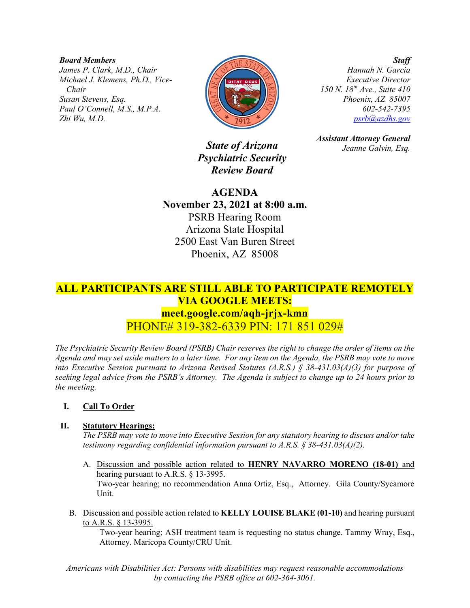*Board Members James P. Clark, M.D., Chair Michael J. Klemens, Ph.D., Vice-Chair Susan Stevens, Esq. Paul O'Connell, M.S., M.P.A. Zhi Wu, M.D.*



*Staff Hannah N. Garcia Executive Director 150 N. 18th Ave., Suite 410 Phoenix, AZ 85007 602-542-7395 [psrb@azdhs.gov](mailto:psrb@azdhs.gov)*

*State of Arizona Psychiatric Security Review Board*

*Assistant Attorney General*

*Jeanne Galvin, Esq.*

**AGENDA November 23, 2021 at 8:00 a.m.** PSRB Hearing Room Arizona State Hospital 2500 East Van Buren Street Phoenix, AZ 85008

# **ALL PARTICIPANTS ARE STILL ABLE TO PARTICIPATE REMOTELY VIA GOOGLE MEETS: meet.google.com/aqh-jrjx-kmn** PHONE# 319-382-6339 PIN: 171 851 029#

*The Psychiatric Security Review Board (PSRB) Chair reserves the right to change the order of items on the Agenda and may set aside matters to a later time. For any item on the Agenda, the PSRB may vote to move into Executive Session pursuant to Arizona Revised Statutes (A.R.S.) § 38-431.03(A)(3) for purpose of seeking legal advice from the PSRB's Attorney. The Agenda is subject to change up to 24 hours prior to the meeting.*

## **I. Call To Order**

## **II. Statutory Hearings:**

*The PSRB may vote to move into Executive Session for any statutory hearing to discuss and/or take testimony regarding confidential information pursuant to A.R.S. § 38-431.03(A)(2).* 

- A. Discussion and possible action related to **HENRY NAVARRO MORENO (18-01)** and hearing pursuant to A.R.S. § 13-3995. Two-year hearing; no recommendation Anna Ortiz, Esq., Attorney. Gila County/Sycamore Unit.
- B. Discussion and possible action related to **KELLY LOUISE BLAKE (01-10)** and hearing pursuant to A.R.S. § 13-3995.

Two-year hearing; ASH treatment team is requesting no status change. Tammy Wray, Esq., Attorney. Maricopa County/CRU Unit.

*Americans with Disabilities Act: Persons with disabilities may request reasonable accommodations by contacting the PSRB office at 602-364-3061.*